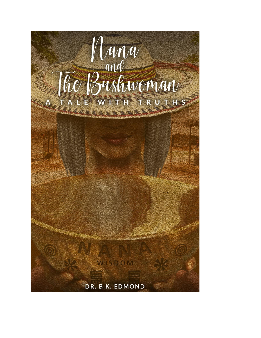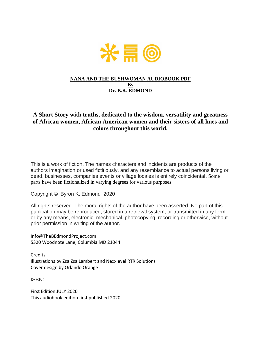

### **NANA AND THE BUSHWOMAN AUDIOBOOK PDF By Dr. B.K. EDMOND**

### **A Short Story with truths, dedicated to the wisdom, versatility and greatness of African women, African American women and their sisters of all hues and colors throughout this world.**

This is a work of fiction. The names characters and incidents are products of the authors imagination or used fictitiously, and any resemblance to actual persons living or dead, businesses, companies events or village locales is entirely coincidental. Some parts have been fictionalized in varying degrees for various purposes.

Copyright © Byron K. Edmond 2020

All rights reserved. The moral rights of the author have been asserted. No part of this publication may be reproduced, stored in a retrieval system, or transmitted in any form or by any means, electronic, mechanical, photocopying, recording or otherwise, without prior permission in writing of the author.

Info@TheBEdmondProject.com 5320 Woodnote Lane, Columbia MD 21044

Credits: Illustrations by Zsa Zsa Lambert and Nexxlevel RTR Solutions Cover design by Orlando Orange

ISBN:

First Edition JULY 2020 This audiobook edition first published 2020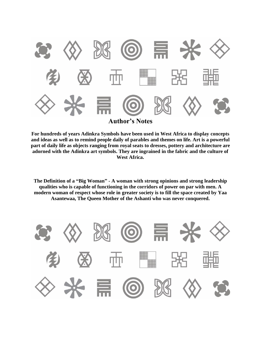

**For hundreds of years Adinkra Symbols have been used in West Africa to display concepts and ideas as well as to remind people daily of parables and themes on life. Art is a powerful part of daily life as objects ranging from royal seats to dresses, pottery and architecture are adorned with the Adinkra art symbols. They are ingrained in the fabric and the culture of West Africa.**

**The Definition of a "Big Woman" - A woman with strong opinions and strong leadership qualities who is capable of functioning in the corridors of power on par with men. A modern woman of respect whose role in greater society is to fill the space created by Yaa Asantewaa, The Queen Mother of the Ashanti who was never conquered.** 

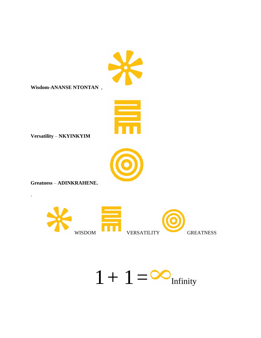**Wisdom-ANANSE NTONTAN**,



Versatility - NKYINKYIM



**Greatness - ADINKRAHENE.** 

 $\ddot{\phantom{a}}$ 



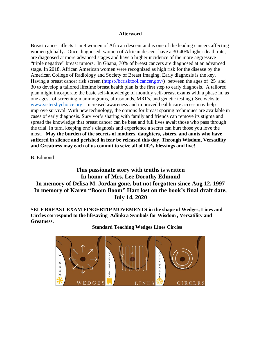#### **Afterword**

Breast cancer affects 1 in 9 women of African descent and is one of the leading cancers affecting women globally. Once diagnosed, women of African descent have a 30-40% higher death rate, are diagnosed at more advanced stages and have a higher incidence of the more aggressive "triple negative" breast tumors. In Ghana, 70% of breast cancers are diagnosed at an advanced stage. In 2018, African American women were recognized as high risk for the disease by the American College of Radiology and Society of Breast Imaging. Early diagnosis is the key. Having a breast cancer risk screen [\(https://bcrisktool.cancer.gov/\)](https://bcrisktool.cancer.gov/) between the ages of 25 and 30 to develop a tailored lifetime breast health plan is the first step to early diagnosis. A tailored plan might incorporate the basic self-knowledge of monthly self-breast exams with a phase in, as one ages, of screening mammograms, ultrasounds, MRI's, and genetic testing.( See website [www.sistersbychoice.org](http://www.sistersbychoice.org/) Increased awareness and improved health care access may help improve survival. With new technology, the options for breast sparing techniques are available in cases of early diagnosis. Survivor's sharing with family and friends can remove its stigma and spread the knowledge that breast cancer can be beat and full lives await those who pass through the trial. In turn, keeping one's diagnosis and experience a secret can hurt those you love the most. **May the burden of the secrets of mothers, daughters, sisters, and aunts who have suffered in silence and perished in fear be released this day**. **Through Wisdom, Versatility and Greatness may each of us commit to seize all of life's blessings and live!**

B. Edmond

**This passionate story with truths is written In honor of Mrs. Lee Dorothy Edmond In memory of Delisa M. Jordan gone, but not forgotten since Aug 12, 1997 In memory of Karen "Boom Boom" Hart lost on the book's final draft date, July 14, 2020**

**SELF BREAST EXAM FINGERTIP MOVEMENTS in the shape of Wedges, Lines and Circles correspond to the lifesaving Adinkra Symbols for Wisdom , Versatility and Greatness.**

**Standard Teaching Wedges Lines Circles**

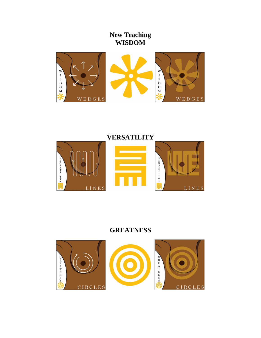## **New Teaching WISDOM**





# **GREATNESS**

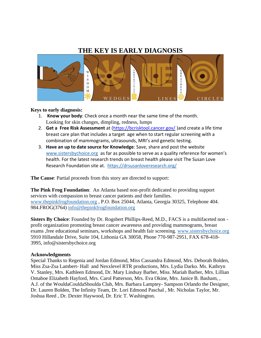### **THE KEY IS EARLY DIAGNOSIS**



### **Keys to early diagnosis:**

- 1. **Know your body**: Check once a month near the same time of the month. Looking for skin changes, dimpling, redness, lumps
- 2. **Get a Free Risk Assessment** at [\(https://bcrisktool.cancer.gov/](https://bcrisktool.cancer.gov/) )and create a life time breast care plan that includes a target age when to start regular screening with a combination of mammograms, ultrasounds, MRI's and genetic testing.
- 3. **Have an up to date source for Knowledge**: Save, share and post the website [www.sistersbychoice.org](http://www.sistersbychoice.org/) as far as possible to serve as a quality reference for women's health. For the latest research trends on breast health please visit The Susan Love Research Foundation site at. <https://drsusanloveresearch.org/>

**The Cause**: Partial proceeds from this story are directed to support:

**The Pink Frog Foundation**: An Atlanta based non-profit dedicated to providing support services with compassion to breast cancer patients and their families. [www.thepinkfrogfoundation.org](http://www.thepinkfrogfoundation.org/) , P.O. Box 25044, Atlanta, Georgia 30325, Telephone 404. 984.FROG(3764) [info@thepinkfrogfoundation.org](mailto:info@thepinkfrogfoundation.org)

**Sisters By Choice**: Founded by Dr. Rogsbert Phillips-Reed, M.D., FACS is a multifaceted non profit organization promoting breast cancer awareness and providing mammograms, breast exams ,free educational seminars, workshops and health fair screening. [www.sistersbychoice.org](http://www.sistersbychoice.org/) 5910 Hillandale Drive, Suite 104, Lithonia GA 30058, Phone 770-987-2951, FAX 678-418- 3995, info@sistersbychoice.org

### **Acknowledgments**

Special Thanks to Regenia and Jordan Edmond, Miss Cassandra Edmond, Mrs. Deborah Bolden, Miss Zsa-Zsa Lambert- Hall and Nexxlevel RTR productions, Mrs. Lydia Darko. Ms. Kathryn V. Stanley, Mrs. Kathleen Edmond, Dr. Mary Lindsay Barber, Miss. Mariah Barber, Mrs. Lillian Omaboe Elizabeth Hayford, Mrs. Carol Patterson, Mrs. Eva Okine, Mrs. Janice B. Basham, , A.J. of the WouldaCouldaShoulda Club, Mrs. Barbara Lamptey- Sampson Orlando the Designer, Dr. Lauren Bolden, The Infinity Team, Dr. Lori Edmond Paschal , Mr. Nicholas Taylor, Mr. Joshua Reed , Dr. Dexter Haywood, Dr. Eric T. Washington.